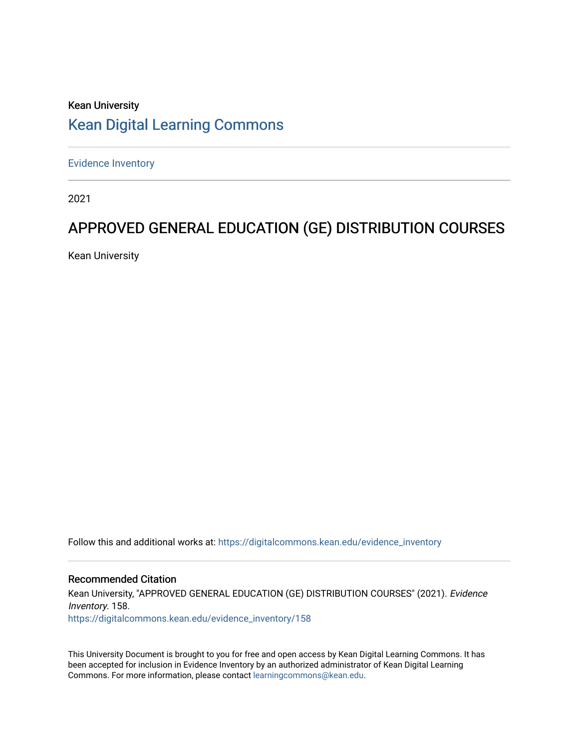## Kean University [Kean Digital Learning Commons](https://digitalcommons.kean.edu/)

[Evidence Inventory](https://digitalcommons.kean.edu/evidence_inventory) 

2021

# APPROVED GENERAL EDUCATION (GE) DISTRIBUTION COURSES

Kean University

Follow this and additional works at: [https://digitalcommons.kean.edu/evidence\\_inventory](https://digitalcommons.kean.edu/evidence_inventory?utm_source=digitalcommons.kean.edu%2Fevidence_inventory%2F158&utm_medium=PDF&utm_campaign=PDFCoverPages)

### Recommended Citation

Kean University, "APPROVED GENERAL EDUCATION (GE) DISTRIBUTION COURSES" (2021). Evidence Inventory. 158. [https://digitalcommons.kean.edu/evidence\\_inventory/158](https://digitalcommons.kean.edu/evidence_inventory/158?utm_source=digitalcommons.kean.edu%2Fevidence_inventory%2F158&utm_medium=PDF&utm_campaign=PDFCoverPages)

This University Document is brought to you for free and open access by Kean Digital Learning Commons. It has been accepted for inclusion in Evidence Inventory by an authorized administrator of Kean Digital Learning Commons. For more information, please contact [learningcommons@kean.edu.](mailto:learningcommons@kean.edu)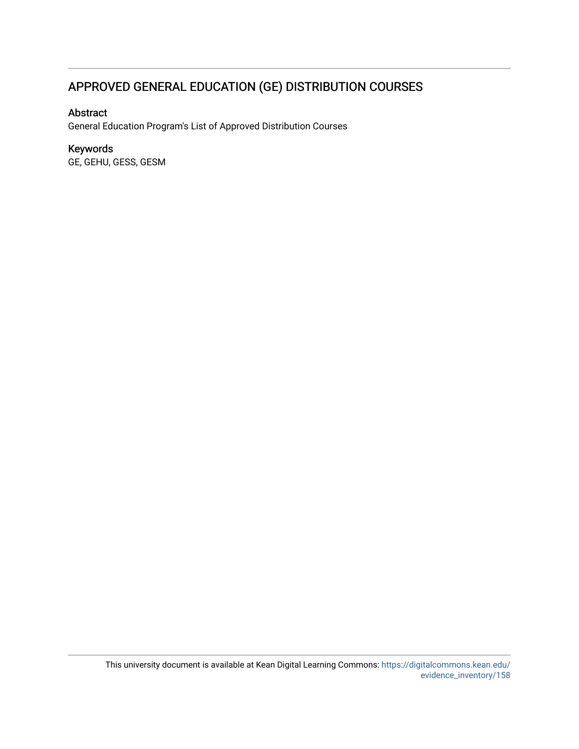## APPROVED GENERAL EDUCATION (GE) DISTRIBUTION COURSES

### Abstract

General Education Program's List of Approved Distribution Courses

### Keywords

GE, GEHU, GESS, GESM